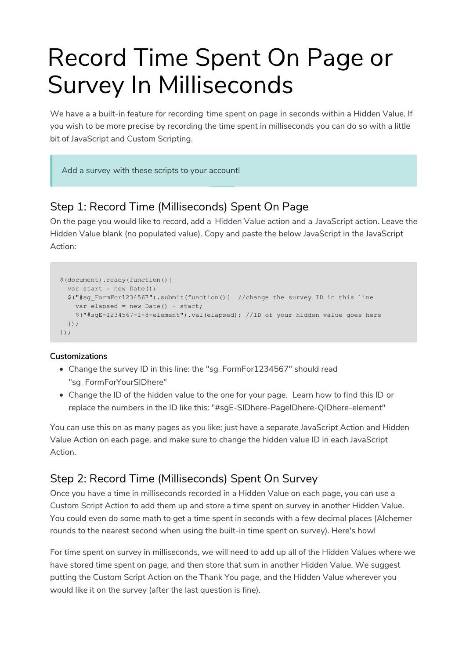# Record Time Spent On Page or Survey In Milliseconds

We have a a built-in feature for recording time spent on page in seconds within a Hidden Value. If you wish to be more precise by recording the time spent in milliseconds you can do so with a little bit of JavaScript and Custom Scripting.

Add a survey with these scripts to your account!

## Step 1: Record Time (Milliseconds) Spent On Page

On the page you would like to record, add a Hidden Value action and a JavaScript action. Leave the Hidden Value blank (no populated value). Copy and paste the below JavaScript in the JavaScript Action:

```
$(document).ready(function(){
 var start = new Date();
 $("#sg_FormFor1234567").submit(function(){ //change the survey ID in this line
   var elapsed = new Date() - start;
   $("#sgE-1234567-1-8-element").val(elapsed); //ID of your hidden value goes here
 });
});
```
#### **Customizations**

- Change the survey ID in this line: the "sg\_FormFor1234567" should read "sg\_FormForYourSIDhere"
- Change the ID of the hidden value to the one for your page. Learn how to find this ID or replace the numbers in the ID like this: "#sgE-SIDhere-PageIDhere-QIDhere-element"

You can use this on as many pages as you like; just have a separate JavaScript Action and Hidden Value Action on each page, and make sure to change the hidden value ID in each JavaScript Action.

## Step 2: Record Time (Milliseconds) Spent On Survey

Once you have a time in milliseconds recorded in a Hidden Value on each page, you can use a Custom Script Action to add them up and store a time spent on survey in another Hidden Value. You could even do some math to get a time spent in seconds with a few decimal places (Alchemer rounds to the nearest second when using the built-in time spent on survey). Here's how!

For time spent on survey in milliseconds, we will need to add up all of the Hidden Values where we have stored time spent on page, and then store that sum in another Hidden Value. We suggest putting the Custom Script Action on the Thank You page, and the Hidden Value wherever you would like it on the survey (after the last question is fine).